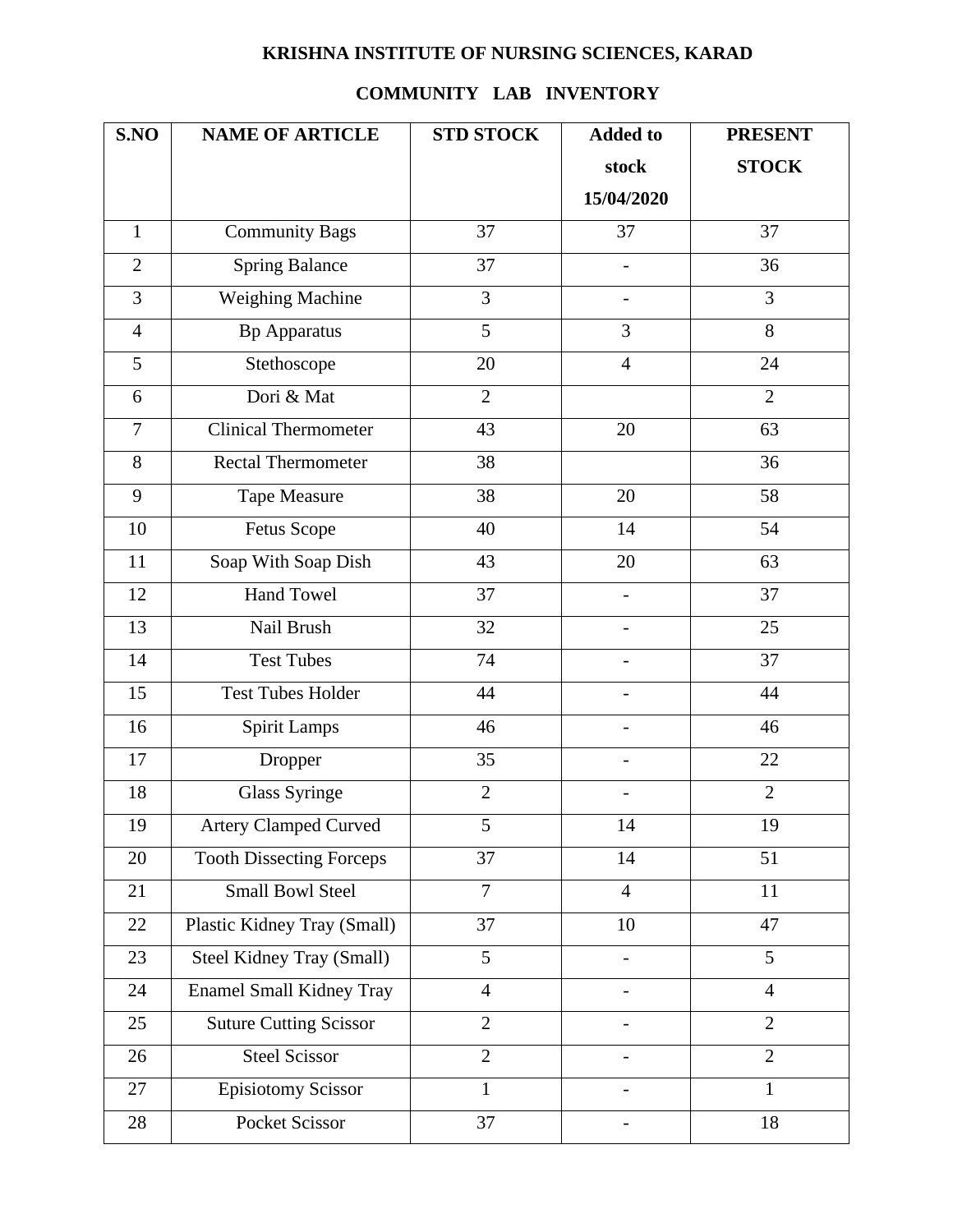## **KRISHNA INSTITUTE OF NURSING SCIENCES, KARAD**

## **COMMUNITY LAB INVENTORY**

| S.NO           | <b>NAME OF ARTICLE</b>          | <b>STD STOCK</b> | <b>Added to</b>          | <b>PRESENT</b> |
|----------------|---------------------------------|------------------|--------------------------|----------------|
|                |                                 |                  | stock                    | <b>STOCK</b>   |
|                |                                 |                  | 15/04/2020               |                |
| $\mathbf{1}$   | <b>Community Bags</b>           | 37               | 37                       | 37             |
| $\overline{2}$ | <b>Spring Balance</b>           | 37               | $\overline{\phantom{0}}$ | 36             |
| 3              | <b>Weighing Machine</b>         | 3                |                          | 3              |
| $\overline{4}$ | <b>Bp Apparatus</b>             | 5                | 3                        | 8              |
| 5              | Stethoscope                     | 20               | $\overline{4}$           | 24             |
| 6              | Dori & Mat                      | $\overline{2}$   |                          | $\overline{2}$ |
| $\overline{7}$ | <b>Clinical Thermometer</b>     | 43               | 20                       | 63             |
| 8              | Rectal Thermometer              | 38               |                          | 36             |
| 9              | <b>Tape Measure</b>             | 38               | 20                       | 58             |
| 10             | <b>Fetus Scope</b>              | 40               | 14                       | 54             |
| 11             | Soap With Soap Dish             | 43               | 20                       | 63             |
| 12             | <b>Hand Towel</b>               | 37               | $\overline{a}$           | 37             |
| 13             | Nail Brush                      | 32               | $\qquad \qquad -$        | 25             |
| 14             | <b>Test Tubes</b>               | 74               | $\overline{a}$           | 37             |
| 15             | <b>Test Tubes Holder</b>        | 44               | -                        | 44             |
| 16             | <b>Spirit Lamps</b>             | 46               |                          | 46             |
| 17             | Dropper                         | 35               | $\overline{\phantom{a}}$ | 22             |
| 18             | <b>Glass Syringe</b>            | $\overline{2}$   |                          | $\overline{2}$ |
| 19             | <b>Artery Clamped Curved</b>    | 5                | 14                       | 19             |
| 20             | <b>Tooth Dissecting Forceps</b> | 37               | 14                       | 51             |
| 21             | <b>Small Bowl Steel</b>         | $\overline{7}$   | $\overline{4}$           | 11             |
| 22             | Plastic Kidney Tray (Small)     | 37               | 10                       | 47             |
| 23             | Steel Kidney Tray (Small)       | 5                | -                        | 5              |
| 24             | <b>Enamel Small Kidney Tray</b> | $\overline{4}$   |                          | $\overline{4}$ |
| 25             | <b>Suture Cutting Scissor</b>   | $\overline{2}$   |                          | $\overline{2}$ |
| 26             | <b>Steel Scissor</b>            | $\overline{2}$   |                          | $\overline{2}$ |
| 27             | <b>Episiotomy Scissor</b>       | $\mathbf{1}$     |                          | $\mathbf{1}$   |
| 28             | Pocket Scissor                  | 37               | -                        | 18             |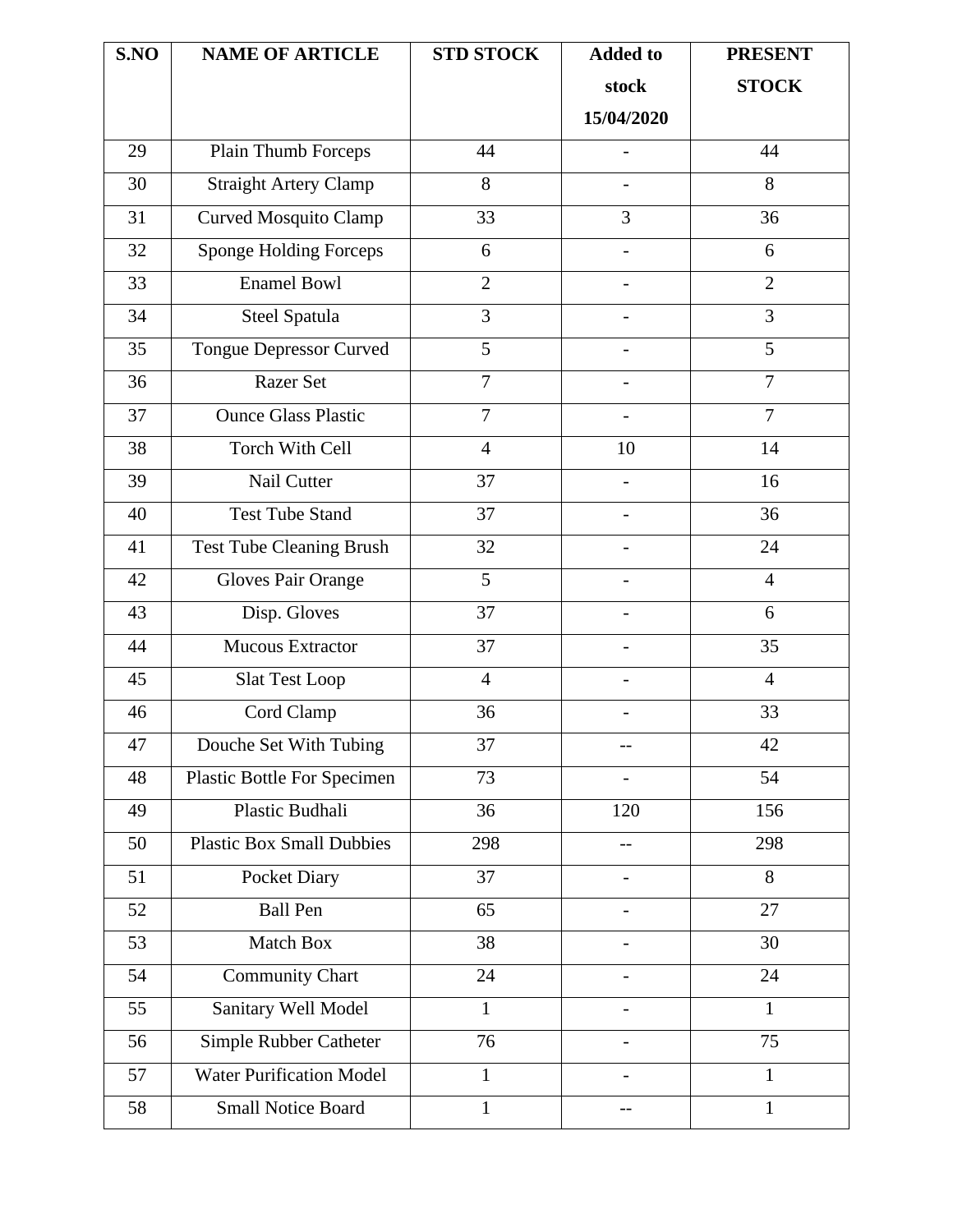| S.NO | <b>NAME OF ARTICLE</b>           | <b>STD STOCK</b> | <b>Added to</b>          | <b>PRESENT</b> |
|------|----------------------------------|------------------|--------------------------|----------------|
|      |                                  |                  | stock                    | <b>STOCK</b>   |
|      |                                  |                  | 15/04/2020               |                |
| 29   | Plain Thumb Forceps              | 44               |                          | 44             |
| 30   | <b>Straight Artery Clamp</b>     | 8                |                          | 8              |
| 31   | <b>Curved Mosquito Clamp</b>     | 33               | 3                        | 36             |
| 32   | Sponge Holding Forceps           | 6                | $\qquad \qquad -$        | 6              |
| 33   | <b>Enamel Bowl</b>               | $\overline{2}$   |                          | $\overline{2}$ |
| 34   | Steel Spatula                    | 3                | $\overline{\phantom{0}}$ | 3              |
| 35   | <b>Tongue Depressor Curved</b>   | 5                |                          | 5              |
| 36   | <b>Razer Set</b>                 | $\overline{7}$   |                          | $\overline{7}$ |
| 37   | <b>Ounce Glass Plastic</b>       | $\overline{7}$   |                          | $\overline{7}$ |
| 38   | <b>Torch With Cell</b>           | $\overline{4}$   | 10                       | 14             |
| 39   | Nail Cutter                      | 37               |                          | 16             |
| 40   | <b>Test Tube Stand</b>           | 37               |                          | 36             |
| 41   | <b>Test Tube Cleaning Brush</b>  | 32               |                          | 24             |
| 42   | <b>Gloves Pair Orange</b>        | 5                |                          | $\overline{4}$ |
| 43   | Disp. Gloves                     | 37               |                          | 6              |
| 44   | <b>Mucous Extractor</b>          | 37               |                          | 35             |
| 45   | <b>Slat Test Loop</b>            | $\overline{4}$   | -                        | $\overline{4}$ |
| 46   | Cord Clamp                       | 36               |                          | 33             |
| 47   | Douche Set With Tubing           | 37               | --                       | 42             |
| 48   | Plastic Bottle For Specimen      | 73               |                          | 54             |
| 49   | Plastic Budhali                  | 36               | 120                      | 156            |
| 50   | <b>Plastic Box Small Dubbies</b> | 298              |                          | 298            |
| 51   | Pocket Diary                     | 37               | $\overline{\phantom{0}}$ | 8              |
| 52   | <b>Ball Pen</b>                  | 65               |                          | 27             |
| 53   | Match Box                        | 38               |                          | 30             |
| 54   | <b>Community Chart</b>           | 24               |                          | 24             |
| 55   | Sanitary Well Model              | $\mathbf{1}$     |                          | $\mathbf{1}$   |
| 56   | Simple Rubber Catheter           | 76               |                          | 75             |
| 57   | <b>Water Purification Model</b>  | $\mathbf{1}$     |                          | $\mathbf{1}$   |
| 58   | <b>Small Notice Board</b>        | $\mathbf{1}$     | --                       | $\mathbf{1}$   |